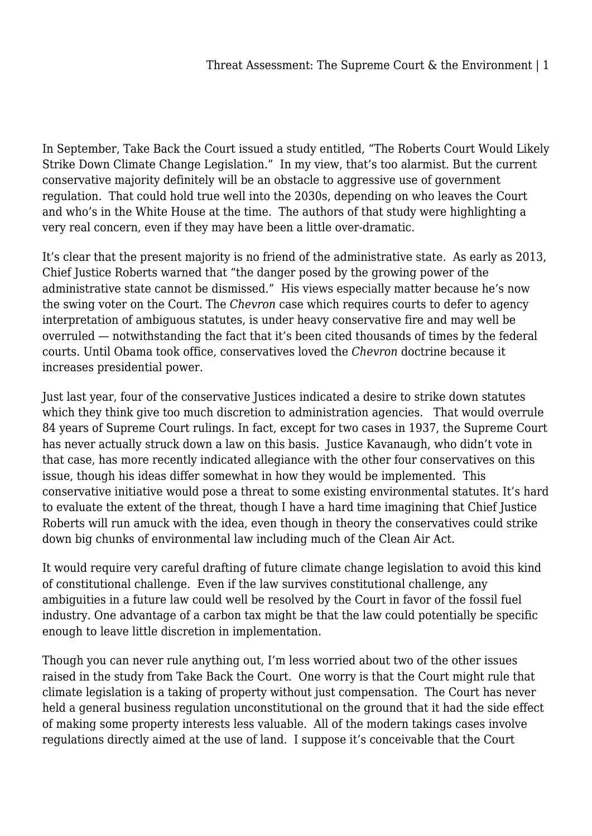In September, Take Back the Court issued a study entitled, "The Roberts Court Would Likely Strike Down Climate Change Legislation." In my view, that's too alarmist. But the current conservative majority definitely will be an obstacle to aggressive use of government regulation. That could hold true well into the 2030s, depending on who leaves the Court and who's in the White House at the time. The authors of that study were highlighting a very real concern, even if they may have been a little over-dramatic.

It's clear that the present majority is no friend of the administrative state. As early as 2013, Chief Justice Roberts warned that "the danger posed by the growing power of the administrative state cannot be dismissed." His views especially matter because he's now the swing voter on the Court. The *Chevron* case which requires courts to defer to agency interpretation of ambiguous statutes, is under heavy conservative fire and may well be overruled — notwithstanding the fact that it's been cited thousands of times by the federal courts. Until Obama took office, conservatives loved the *Chevron* doctrine because it increases presidential power.

Just last year, four of the conservative Justices indicated a desire to strike down statutes which they think give too much discretion to administration agencies. That would overrule 84 years of Supreme Court rulings. In fact, except for two cases in 1937, the Supreme Court has never actually struck down a law on this basis. Justice Kavanaugh, who didn't vote in that case, has more recently indicated allegiance with the other four conservatives on this issue, though his ideas differ somewhat in how they would be implemented. This conservative initiative would pose a threat to some existing environmental statutes. It's hard to evaluate the extent of the threat, though I have a hard time imagining that Chief Justice Roberts will run amuck with the idea, even though in theory the conservatives could strike down big chunks of environmental law including much of the Clean Air Act.

It would require very careful drafting of future climate change legislation to avoid this kind of constitutional challenge. Even if the law survives constitutional challenge, any ambiguities in a future law could well be resolved by the Court in favor of the fossil fuel industry. One advantage of a carbon tax might be that the law could potentially be specific enough to leave little discretion in implementation.

Though you can never rule anything out, I'm less worried about two of the other issues raised in the study from Take Back the Court. One worry is that the Court might rule that climate legislation is a taking of property without just compensation. The Court has never held a general business regulation unconstitutional on the ground that it had the side effect of making some property interests less valuable. All of the modern takings cases involve regulations directly aimed at the use of land. I suppose it's conceivable that the Court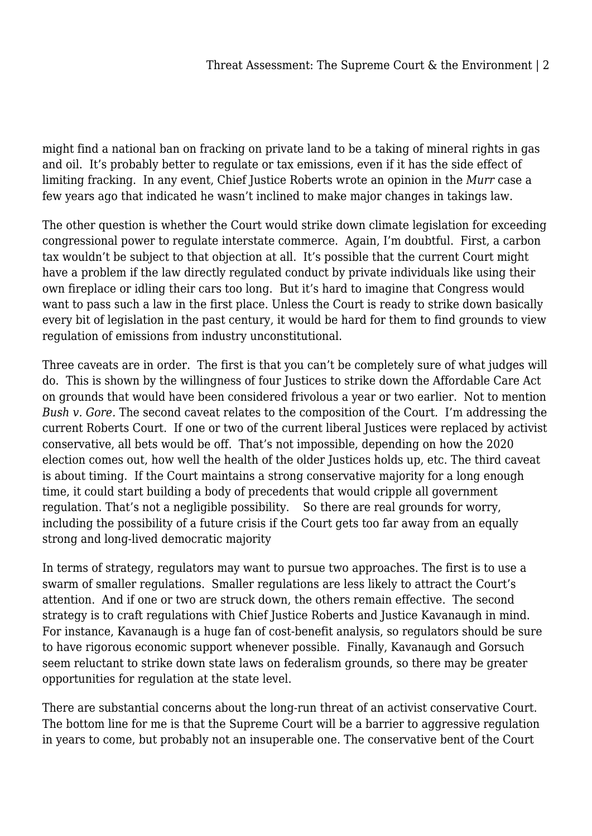might find a national ban on fracking on private land to be a taking of mineral rights in gas and oil. It's probably better to regulate or tax emissions, even if it has the side effect of limiting fracking. In any event, Chief Justice Roberts wrote an opinion in the *Murr* case a few years ago that indicated he wasn't inclined to make major changes in takings law.

The other question is whether the Court would strike down climate legislation for exceeding congressional power to regulate interstate commerce. Again, I'm doubtful. First, a carbon tax wouldn't be subject to that objection at all. It's possible that the current Court might have a problem if the law directly regulated conduct by private individuals like using their own fireplace or idling their cars too long. But it's hard to imagine that Congress would want to pass such a law in the first place. Unless the Court is ready to strike down basically every bit of legislation in the past century, it would be hard for them to find grounds to view regulation of emissions from industry unconstitutional.

Three caveats are in order. The first is that you can't be completely sure of what judges will do. This is shown by the willingness of four Justices to strike down the Affordable Care Act on grounds that would have been considered frivolous a year or two earlier. Not to mention *Bush v. Gore.* The second caveat relates to the composition of the Court. I'm addressing the current Roberts Court. If one or two of the current liberal Justices were replaced by activist conservative, all bets would be off. That's not impossible, depending on how the 2020 election comes out, how well the health of the older Justices holds up, etc. The third caveat is about timing. If the Court maintains a strong conservative majority for a long enough time, it could start building a body of precedents that would cripple all government regulation. That's not a negligible possibility. So there are real grounds for worry, including the possibility of a future crisis if the Court gets too far away from an equally strong and long-lived democratic majority

In terms of strategy, regulators may want to pursue two approaches. The first is to use a swarm of smaller regulations. Smaller regulations are less likely to attract the Court's attention. And if one or two are struck down, the others remain effective. The second strategy is to craft regulations with Chief Justice Roberts and Justice Kavanaugh in mind. For instance, Kavanaugh is a huge fan of cost-benefit analysis, so regulators should be sure to have rigorous economic support whenever possible. Finally, Kavanaugh and Gorsuch seem reluctant to strike down state laws on federalism grounds, so there may be greater opportunities for regulation at the state level.

There are substantial concerns about the long-run threat of an activist conservative Court. The bottom line for me is that the Supreme Court will be a barrier to aggressive regulation in years to come, but probably not an insuperable one. The conservative bent of the Court